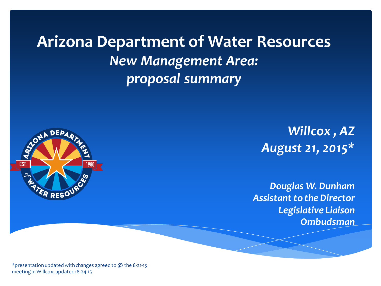**Arizona Department of Water Resources** *New Management Area: proposal summary*



*Willcox , AZ August 21, 2015\**

*Douglas W. Dunham Assistant to the Director Legislative Liaison Ombudsman*

\*presentation updated with changes agreed to @ the 8-21-15 meeting in Willcox; updated: 8-24-15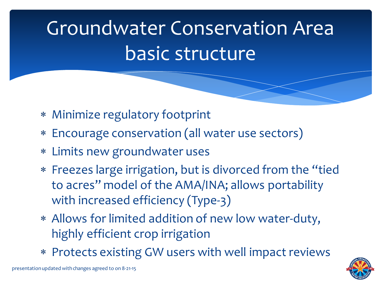## Groundwater Conservation Area basic structure

- ∗ Minimize regulatory footprint
- ∗ Encourage conservation (all water use sectors)
- ∗ Limits new groundwater uses
- ∗ Freezes large irrigation, but is divorced from the "tied to acres" model of the AMA/INA; allows portability with increased efficiency (Type-3)
- ∗ Allows for limited addition of new low water-duty, highly efficient crop irrigation
- ∗ Protects existing GW users with well impact reviews

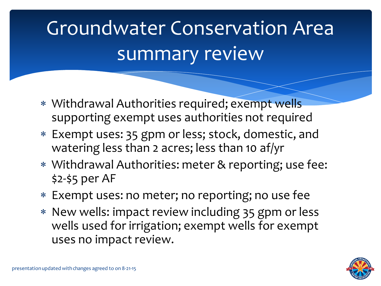## Groundwater Conservation Area summary review

- ∗ Withdrawal Authorities required; exempt wells supporting exempt uses authorities not required
- ∗ Exempt uses: 35 gpm or less; stock, domestic, and watering less than 2 acres; less than 10 af/yr
- ∗ Withdrawal Authorities: meter & reporting; use fee: \$2-\$5 per AF
- ∗ Exempt uses: no meter; no reporting; no use fee
- ∗ New wells: impact review including 35 gpm or less wells used for irrigation; exempt wells for exempt uses no impact review.

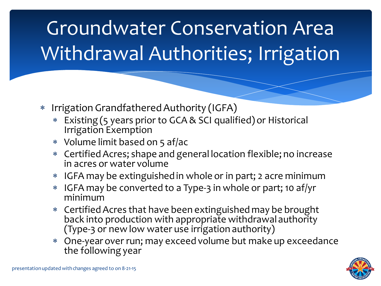## Groundwater Conservation Area Withdrawal Authorities; Irrigation

- ∗ Irrigation Grandfathered Authority (IGFA)
	- ∗ Existing (5 years prior to GCA & SCI qualified) or Historical Irrigation Exemption
	- ∗ Volume limit based on 5 af/ac
	- ∗ Certified Acres; shape and general location flexible; no increase in acres or water volume
	- ∗ IGFA may be extinguished in whole or in part; 2 acre minimum
	- ∗ IGFA may be converted to a Type-3 in whole or part; 10 af/yr minimum
	- ∗ Certified Acres that have been extinguished may be brought back into production with appropriate withdrawal authority (Type-3 or new low water use irrigation authority)
	- ∗ One-year over run; may exceed volume but make up exceedance the following year

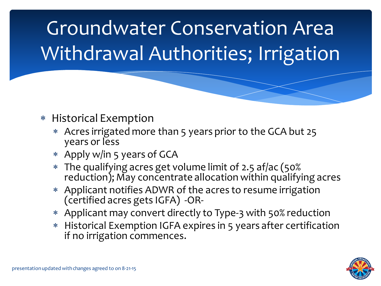Groundwater Conservation Area Withdrawal Authorities; Irrigation

#### ∗ Historical Exemption

- ∗ Acres irrigated more than 5 years prior to the GCA but 25 years or less
- ∗ Apply w/in 5 years of GCA
- <sup>∗</sup> The qualifying acres get volume limit of 2.5 af/ac (50% reduction); May concentrate allocation within qualifying acres
- ∗ Applicant notifies ADWR of the acres to resume irrigation (certified acres gets IGFA) -OR-
- ∗ Applicant may convert directly to Type-3 with 50% reduction
- ∗ Historical Exemption IGFA expires in 5 years after certification if no irrigation commences.

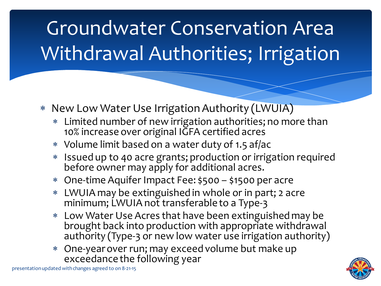## Groundwater Conservation Area Withdrawal Authorities; Irrigation

- ∗ New Low Water Use Irrigation Authority (LWUIA)
	- ∗ Limited number of new irrigation authorities; no more than 10% increase over original IGFA certified acres
	- ∗ Volume limit based on a water duty of 1.5 af/ac
	- ∗ Issued up to 40 acre grants; production or irrigation required before owner may apply for additional acres.
	- ∗ One-time Aquifer Impact Fee: \$500 \$1500 per acre
	- ∗ LWUIA may be extinguished in whole or in part; 2 acre minimum; LWUIA not transferable to a Type-3
	- ∗ Low Water Use Acres that have been extinguished may be brought back into production with appropriate withdrawal authority (Type-3 or new low water use irrigation authority)
	- One-year over run; may exceed volume but make up exceedance the following year



presentation updated with changes agreed to on 8-21-15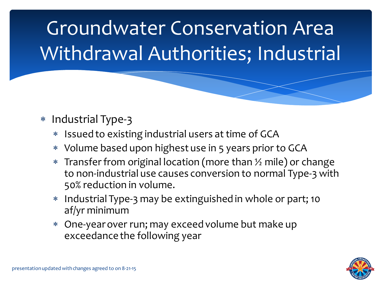## Groundwater Conservation Area Withdrawal Authorities; Industrial

- ∗ Industrial Type-3
	- **Issued to existing industrial users at time of GCA**
	- ∗ Volume based upon highest use in 5 years prior to GCA
	- ∗ Transfer from original location (more than ½ mile) or change to non-industrial use causes conversion to normal Type-3 with 50% reduction in volume.
	- ∗ Industrial Type-3 may be extinguished in whole or part; 10 af/yr minimum
	- ∗ One-year over run; may exceed volume but make up exceedance the following year

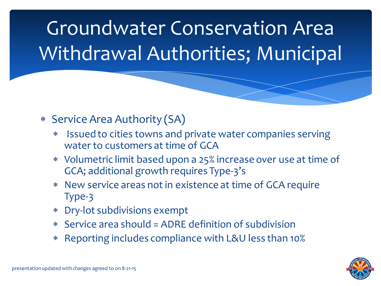## Groundwater Conservation Area Withdrawal Authorities; Municipal

### ∗ Service Area Authority (SA)

- ∗ Issued to cities towns and private water companies serving water to customers at time of GCA
- ∗ Volumetric limit based upon a 25% increase over use at time of GCA; additional growth requires Type-3's
- ∗ New service areas not in existence at time of GCA require Type-3
- ∗ Dry-lot subdivisions exempt
- ∗ Service area should = ADRE definition of subdivision
- ∗ Reporting includes compliance with L&U less than 10%

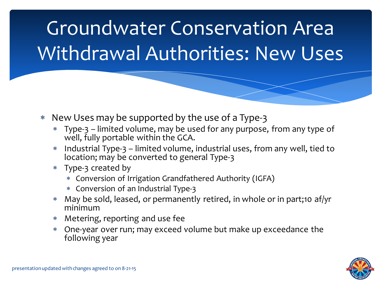## Groundwater Conservation Area Withdrawal Authorities: New Uses

- ∗ New Uses may be supported by the use of a Type-3
	- ∗ Type-3 limited volume, may be used for any purpose, from any type of well, fully portable within the GCA.
	- ∗ Industrial Type-3 limited volume, industrial uses, from any well, tied to location; may be converted to general Type-3
	- ∗ Type-3 created by
		- ∗ Conversion of Irrigation Grandfathered Authority (IGFA)
		- ∗ Conversion of an Industrial Type-3
	- ∗ May be sold, leased, or permanently retired, in whole or in part;10 af/yr minimum
	- ∗ Metering, reporting and use fee
	- ∗ One-year over run; may exceed volume but make up exceedance the following year

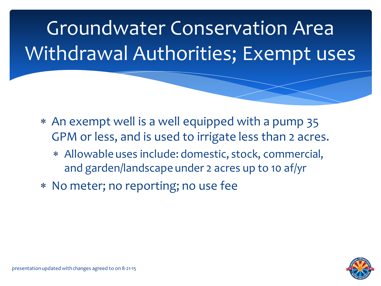Groundwater Conservation Area Withdrawal Authorities; Exempt uses

- ∗ An exempt well is a well equipped with a pump 35 GPM or less, and is used to irrigate less than 2 acres.
	- ∗ Allowable uses include: domestic, stock, commercial, and garden/landscape under 2 acres up to 10 af/yr
- ∗ No meter; no reporting; no use fee

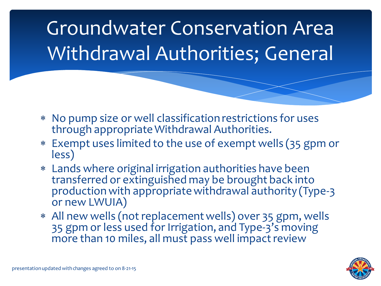## Groundwater Conservation Area Withdrawal Authorities; General

- ∗ No pump size or well classification restrictions for uses through appropriate Withdrawal Authorities.
- ∗ Exempt uses limited to the use of exempt wells (35 gpm or less)
- ∗ Lands where original irrigation authorities have been transferred or extinguished may be brought back into production with appropriate withdrawal authority (Type-3 or new LWUIA)
- ∗ All new wells (not replacement wells) over 35 gpm, wells 35 gpm or less used for Irrigation, and Type-3's moving more than 10 miles, all must pass well impact review

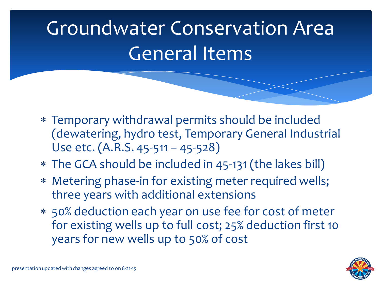## Groundwater Conservation Area General Items

- ∗ Temporary withdrawal permits should be included (dewatering, hydro test, Temporary General Industrial Use etc. (A.R.S. 45-511 – 45-528)
- ∗ The GCA should be included in 45-131 (the lakes bill)
- ∗ Metering phase-in for existing meter required wells; three years with additional extensions
- ∗ 50% deduction each year on use fee for cost of meter for existing wells up to full cost; 25% deduction first 10 years for new wells up to 50% of cost

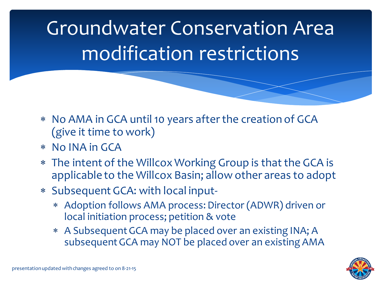Groundwater Conservation Area modification restrictions

- ∗ No AMA in GCA until 10 years after the creation of GCA (give it time to work)
- ∗ No INA in GCA
- ∗ The intent of the Willcox Working Group is that the GCA is applicable to the Willcox Basin; allow other areas to adopt
- ∗ Subsequent GCA: with local input-
	- ∗ Adoption follows AMA process: Director (ADWR) driven or local initiation process; petition & vote
	- ∗ A Subsequent GCA may be placed over an existing INA; A subsequent GCA may NOT be placed over an existing AMA

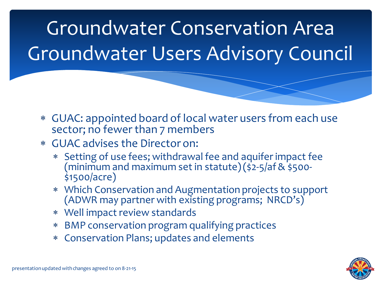Groundwater Conservation Area Groundwater Users Advisory Council

- ∗ GUAC: appointed board of local water users from each use sector; no fewer than 7 members
- ∗ GUAC advises the Director on:
	- ∗ Setting of use fees; withdrawal fee and aquifer impact fee (minimum and maximum set in statute)(\$2-5/af & \$500-<br>\$1500/acre)
	- ∗ Which Conservation and Augmentation projects to support (ADWR may partner with existing programs; NRCD's)
	- ∗ Well impact review standards
	- ∗ BMP conservation program qualifying practices
	- ∗ Conservation Plans; updates and elements

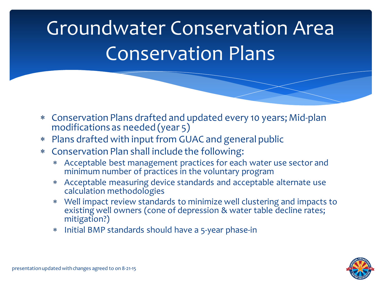## Groundwater Conservation Area Conservation Plans

- <sup>∗</sup> Conservation Plans drafted and updated every 10 years; Mid-plan modifications as needed (year 5)
- ∗ Plans drafted with input from GUAC and general public
- ∗ Conservation Plan shall include the following:
	- ∗ Acceptable best management practices for each water use sector and minimum number of practices in the voluntary program
	- ∗ Acceptable measuring device standards and acceptable alternate use calculation methodologies
	- ∗ Well impact review standards to minimize well clustering and impacts to existing well owners (cone of depression & water table decline rates; mitigation?)
	- ∗ Initial BMP standards should have a 5-year phase-in

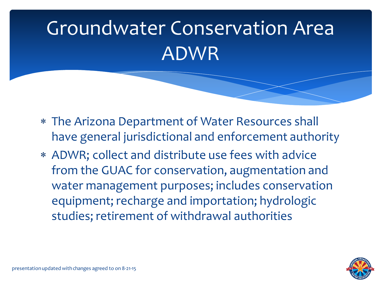## Groundwater Conservation Area ADWR

- ∗ The Arizona Department of Water Resources shall have general jurisdictional and enforcement authority
- ∗ ADWR; collect and distribute use fees with advice from the GUAC for conservation, augmentation and water management purposes; includes conservation equipment; recharge and importation; hydrologic studies; retirement of withdrawal authorities